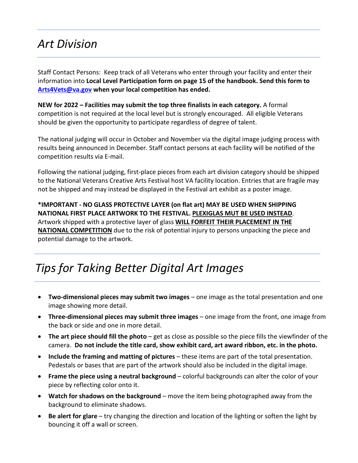## *Art Division*

Staff Contact Persons: Keep track of all Veterans who enter through your facility and enter their information into **Local Level Participation form on page 15 of the handbook. Send this form to [Arts4Vets@va.gov](mailto:Arts4Vets@va.gov) when your local competition has ended.**

**NEW for 2022 – Facilities may submit the top three finalists in each category.** A formal competition is not required at the local level but is strongly encouraged. All eligible Veterans should be given the opportunity to participate regardless of degree of talent.

The national judging will occur in October and November via the digital image judging process with results being announced in December. Staff contact persons at each facility will be notified of the competition results via E-mail.

Following the national judging, first-place pieces from each art division category should be shipped to the National Veterans Creative Arts Festival host VA facility location. Entries that are fragile may not be shipped and may instead be displayed in the Festival art exhibit as a poster image.

**\*IMPORTANT - NO GLASS PROTECTIVE LAYER (on flat art) MAY BE USED WHEN SHIPPING NATIONAL FIRST PLACE ARTWORK TO THE FESTIVAL. PLEXIGLAS MUT BE USED INSTEAD**. Artwork shipped with a protective layer of glass **WILL FORFEIT THEIR PLACEMENT IN THE NATIONAL COMPETITION** due to the risk of potential injury to persons unpacking the piece and potential damage to the artwork.

# *Tips for Taking Better Digital Art Images*

- **Two-dimensional pieces may submit two images** one image as the total presentation and one image showing more detail.
- **Three-dimensional pieces may submit three images** one image from the front, one image from the back or side and one in more detail.
- **The art piece should fill the photo** get as close as possible so the piece fills the viewfinder of the camera. **Do not include the title card, show exhibit card, art award ribbon, etc. in the photo.**
- **Include the framing and matting of pictures** these items are part of the total presentation. Pedestals or bases that are part of the artwork should also be included in the digital image.
- **Frame the piece using a neutral background**  colorful backgrounds can alter the color of your piece by reflecting color onto it.
- **Watch for shadows on the background** move the item being photographed away from the background to eliminate shadows.
- **Be alert for glare** try changing the direction and location of the lighting or soften the light by bouncing it off a wall or screen.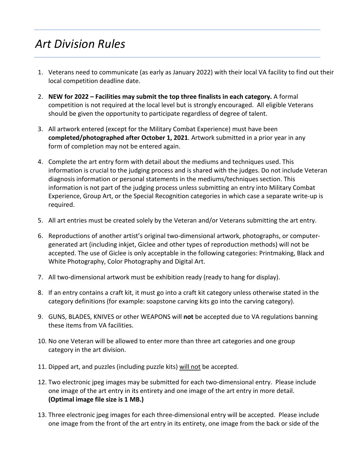# *Art Division Rules*

- 1. Veterans need to communicate (as early as January 2022) with their local VA facility to find out their local competition deadline date.
- 2. **NEW for 2022 Facilities may submit the top three finalists in each category.** A formal competition is not required at the local level but is strongly encouraged. All eligible Veterans should be given the opportunity to participate regardless of degree of talent.
- 3. All artwork entered (except for the Military Combat Experience) must have been **completed/photographed after October 1, 2021**. Artwork submitted in a prior year in any form of completion may not be entered again.
- 4. Complete the art entry form with detail about the mediums and techniques used. This information is crucial to the judging process and is shared with the judges. Do not include Veteran diagnosis information or personal statements in the mediums/techniques section. This information is not part of the judging process unless submitting an entry into Military Combat Experience, Group Art, or the Special Recognition categories in which case a separate write-up is required.
- 5. All art entries must be created solely by the Veteran and/or Veterans submitting the art entry.
- 6. Reproductions of another artist's original two-dimensional artwork, photographs, or computergenerated art (including inkjet, Giclee and other types of reproduction methods) will not be accepted. The use of Giclee is only acceptable in the following categories: Printmaking, Black and White Photography, Color Photography and Digital Art.
- 7. All two-dimensional artwork must be exhibition ready (ready to hang for display).
- 8. If an entry contains a craft kit, it must go into a craft kit category unless otherwise stated in the category definitions (for example: soapstone carving kits go into the carving category).
- 9. GUNS, BLADES, KNIVES or other WEAPONS will **not** be accepted due to VA regulations banning these items from VA facilities.
- 10. No one Veteran will be allowed to enter more than three art categories and one group category in the art division.
- 11. Dipped art, and puzzles (including puzzle kits) will not be accepted.
- 12. Two electronic jpeg images may be submitted for each two-dimensional entry. Please include one image of the art entry in its entirety and one image of the art entry in more detail. **(Optimal image file size is 1 MB.)**
- 13. Three electronic jpeg images for each three-dimensional entry will be accepted. Please include one image from the front of the art entry in its entirety, one image from the back or side of the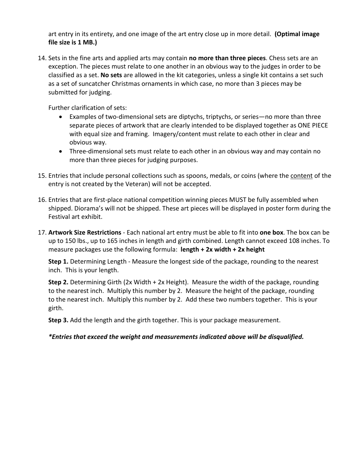art entry in its entirety, and one image of the art entry close up in more detail. **(Optimal image file size is 1 MB.)**

14. Sets in the fine arts and applied arts may contain **no more than three pieces**. Chess sets are an exception. The pieces must relate to one another in an obvious way to the judges in order to be classified as a set. **No sets** are allowed in the kit categories, unless a single kit contains a set such as a set of suncatcher Christmas ornaments in which case, no more than 3 pieces may be submitted for judging.

Further clarification of sets:

- Examples of two-dimensional sets are diptychs, triptychs, or series—no more than three separate pieces of artwork that are clearly intended to be displayed together as ONE PIECE with equal size and framing. Imagery/content must relate to each other in clear and obvious way.
- Three-dimensional sets must relate to each other in an obvious way and may contain no more than three pieces for judging purposes.
- 15. Entries that include personal collections such as spoons, medals, or coins (where the content of the entry is not created by the Veteran) will not be accepted.
- 16. Entries that are first-place national competition winning pieces MUST be fully assembled when shipped. Diorama's will not be shipped. These art pieces will be displayed in poster form during the Festival art exhibit.
- 17. **Artwork Size Restrictions** Each national art entry must be able to fit into **one box**. The box can be up to 150 lbs., up to 165 inches in length and girth combined. Length cannot exceed 108 inches. To measure packages use the following formula: **length + 2x width + 2x height**

**Step 1.** Determining Length - Measure the longest side of the package, rounding to the nearest inch. This is your length.

**Step 2.** Determining Girth (2x Width + 2x Height). Measure the width of the package, rounding to the nearest inch. Multiply this number by 2. Measure the height of the package, rounding to the nearest inch. Multiply this number by 2. Add these two numbers together. This is your girth.

**Step 3.** Add the length and the girth together. This is your package measurement.

### *\*Entries that exceed the weight and measurements indicated above will be disqualified.*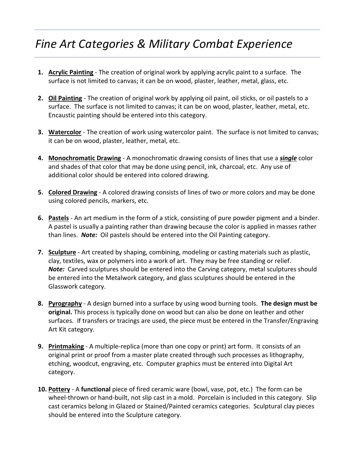# *Fine Art Categories & Military Combat Experience*

- **1. Acrylic Painting** The creation of original work by applying acrylic paint to a surface. The surface is not limited to canvas; it can be on wood, plaster, leather, metal, glass, etc.
- **2. Oil Painting** The creation of original work by applying oil paint, oil sticks, or oil pastels to a surface. The surface is not limited to canvas; it can be on wood, plaster, leather, metal, etc. Encaustic painting should be entered into this category.
- **3. Watercolor** The creation of work using watercolor paint. The surface is not limited to canvas; it can be on wood, plaster, leather, metal, etc.
- **4. Monochromatic Drawing** A monochromatic drawing consists of lines that use a *single* color and shades of that color that may be done using pencil, ink, charcoal, etc. Any use of additional color should be entered into colored drawing.
- **5. Colored Drawing** A colored drawing consists of lines of two or more colors and may be done using colored pencils, markers, etc.
- **6. Pastels** An art medium in the form of a stick, consisting of pure powder pigment and a binder. A pastel is usually a painting rather than drawing because the color is applied in masses rather than lines. *Note:* Oil pastels should be entered into the Oil Painting category.
- **7. Sculpture** Art created by shaping, combining, modeling or casting materials such as plastic, clay, textiles, wax or polymers into a work of art. They may be free standing or relief. *Note:* Carved sculptures should be entered into the Carving category, metal sculptures should be entered into the Metalwork category, and glass sculptures should be entered in the Glasswork category.
- **8. Pyrography** A design burned into a surface by using wood burning tools. **The design must be original.** This process is typically done on wood but can also be done on leather and other surfaces. If transfers or tracings are used, the piece must be entered in the Transfer/Engraving Art Kit category.
- **9. Printmaking** A multiple-replica (more than one copy or print) art form. It consists of an original print or proof from a master plate created through such processes as lithography, etching, woodcut, engraving, etc. Computer graphics must be entered into Digital Art category.
- **10. Pottery** A **functional** piece of fired ceramic ware (bowl, vase, pot, etc.) The form can be wheel-thrown or hand-built, not slip cast in a mold. Porcelain is included in this category. Slip cast ceramics belong in Glazed or Stained/Painted ceramics categories. Sculptural clay pieces should be entered into the Sculpture category.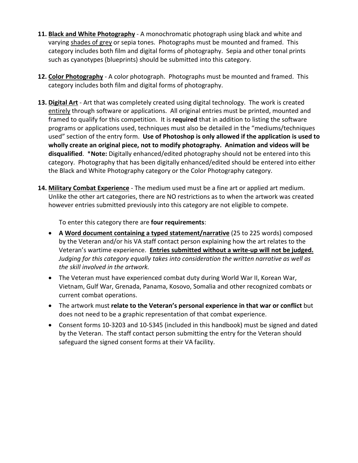- **11. Black and White Photography** A monochromatic photograph using black and white and varying [shades of grey](http://en.wikipedia.org/wiki/Grayscale) or sepia tones. Photographs must be mounted and framed. This category includes both film and digital forms of photography. Sepia and other tonal prints such as cyanotypes (blueprints) should be submitted into this category.
- **12. Color Photography** A color photograph. Photographs must be mounted and framed. This category includes both film and digital forms of photography.
- **13. Digital Art** Art that was completely created using digital technology. The work is created entirely through software or applications. All original entries must be printed, mounted and framed to qualify for this competition. It is **required** that in addition to listing the software programs or applications used, techniques must also be detailed in the "mediums/techniques used" section of the entry form. **Use of Photoshop is only allowed if the application is used to wholly create an original piece, not to modify photography. Animation and videos will be disqualified**. \***Note:** Digitally enhanced/edited photography should not be entered into this category. Photography that has been digitally enhanced/edited should be entered into either the Black and White Photography category or the Color Photography category.
- **14. Military Combat Experience** The medium used must be a fine art or applied art medium. Unlike the other art categories, there are NO restrictions as to when the artwork was created however entries submitted previously into this category are not eligible to compete.

To enter this category there are **four requirements**:

- **A Word document containing a typed statement/narrative** (25 to 225 words) composed by the Veteran and/or his VA staff contact person explaining how the art relates to the Veteran's wartime experience. **Entries submitted without a write-up will not be judged.**  *Judging for this category equally takes into consideration the written narrative as well as the skill involved in the artwork.*
- The Veteran must have experienced combat duty during World War II, Korean War, Vietnam, Gulf War, Grenada, Panama, Kosovo, Somalia and other recognized combats or current combat operations.
- The artwork must **relate to the Veteran's personal experience in that war or conflict** but does not need to be a graphic representation of that combat experience.
- Consent forms 10-3203 and 10-5345 (included in this handbook) must be signed and dated by the Veteran. The staff contact person submitting the entry for the Veteran should safeguard the signed consent forms at their VA facility.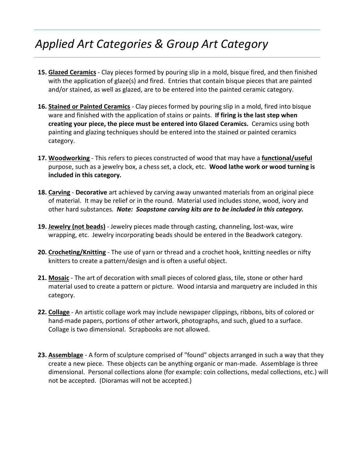# *Applied Art Categories & Group Art Category*

- **15. Glazed Ceramics** Clay pieces formed by pouring slip in a mold, bisque fired, and then finished with the application of glaze(s) and fired. Entries that contain bisque pieces that are painted and/or stained, as well as glazed, are to be entered into the painted ceramic category.
- **16. Stained or Painted Ceramics** Clay pieces formed by pouring slip in a mold, fired into bisque ware and finished with the application of stains or paints. **If firing is the last step when creating your piece, the piece must be entered into Glazed Ceramics.** Ceramics using both painting and glazing techniques should be entered into the stained or painted ceramics category.
- **17. Woodworking** This refers to pieces constructed of wood that may have a **functional/useful** purpose, such as a jewelry box, a chess set, a clock, etc. **Wood lathe work or wood turning is included in this category.**
- **18. Carving Decorative** art achieved by carving away unwanted materials from an original piece of material. It may be relief or in the round. Material used includes stone, wood, ivory and other hard substances. *Note: Soapstone carving kits are to be included in this category.*
- **19. Jewelry (not beads)** Jewelry pieces made through casting, channeling, lost-wax, wire wrapping, etc. Jewelry incorporating beads should be entered in the Beadwork category.
- **20. Crocheting/Knitting** The use of yarn or thread and a crochet hook, knitting needles or nifty knitters to create a pattern/design and is often a useful object.
- **21. Mosaic** The art of decoration with small pieces of colored glass, tile, stone or other hard material used to create a pattern or picture. Wood intarsia and marquetry are included in this category.
- **22. Collage** An artistic collage work may include newspaper clippings, ribbons, bits of colored or hand-made papers, portions of other artwork, photographs, and such, glued to a surface. Collage is two dimensional. Scrapbooks are not allowed.
- **23. Assemblage** A form of sculpture comprised of "found" objects arranged in such a way that they create a new piece. These objects can be anything organic or man-made. Assemblage is three dimensional. Personal collections alone (for example: coin collections, medal collections, etc.) will not be accepted. (Dioramas will not be accepted.)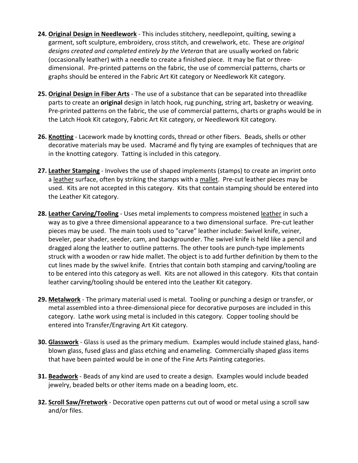- **24. Original Design in Needlework** This includes stitchery, needlepoint, quilting, sewing a garment, soft sculpture, embroidery, cross stitch, and crewelwork, etc. These are *original designs created and completed entirely by the Veteran* that are usually worked on fabric (occasionally leather) with a needle to create a finished piece. It may be flat or threedimensional. Pre-printed patterns on the fabric, the use of commercial patterns, charts or graphs should be entered in the Fabric Art Kit category or Needlework Kit category.
- **25. Original Design in Fiber Arts** The use of a substance that can be separated into threadlike parts to create an **original** design in latch hook, rug punching, string art, basketry or weaving. Pre-printed patterns on the fabric, the use of commercial patterns, charts or graphs would be in the Latch Hook Kit category, Fabric Art Kit category, or Needlework Kit category.
- **26. Knotting** Lacework made by knotting cords, thread or other fibers. Beads, shells or other decorative materials may be used. Macramé and fly tying are examples of techniques that are in the knotting category. Tatting is included in this category.
- **27. Leather Stamping** Involves the use of shaped implements (stamps) to create an imprint onto a [leather](http://en.wikipedia.org/wiki/Leather) surface, often by striking the stamps with a [mallet.](http://en.wikipedia.org/wiki/Mallet) Pre-cut leather pieces may be used. Kits are not accepted in this category. Kits that contain stamping should be entered into the Leather Kit category.
- **28. Leather Carving/Tooling** Uses metal implements to compress moistened [leather](http://en.wikipedia.org/wiki/Leather) in such a way as to give a three dimensional appearance to a two dimensional surface. Pre-cut leather pieces may be used. The main tools used to "carve" leather include: Swivel knife, veiner, beveler, pear shader, seeder, cam, and backgrounder. The swivel knife is held like a pencil and dragged along the leather to outline patterns. The other tools are punch-type implements struck with a wooden or raw hide mallet. The object is to add further definition by them to the cut lines made by the swivel knife. Entries that contain both stamping and carving/tooling are to be entered into this category as well. Kits are not allowed in this category. Kits that contain leather carving/tooling should be entered into the Leather Kit category.
- **29. Metalwork** The primary material used is metal. Tooling or punching a design or transfer, or metal assembled into a three-dimensional piece for decorative purposes are included in this category. Lathe work using metal is included in this category. Copper tooling should be entered into Transfer/Engraving Art Kit category.
- **30. Glasswork** Glass is used as the primary medium. Examples would include stained glass, handblown glass, fused glass and glass etching and enameling. Commercially shaped glass items that have been painted would be in one of the Fine Arts Painting categories.
- **31. Beadwork** Beads of any kind are used to create a design. Examples would include beaded jewelry, beaded belts or other items made on a beading loom, etc.
- **32. Scroll Saw/Fretwork** Decorative open patterns cut out of wood or metal using a scroll saw and/or files.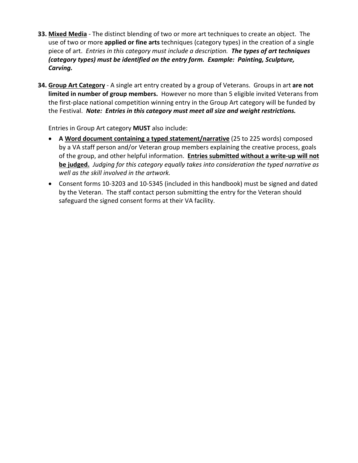- **33. Mixed Media** The distinct blending of two or more art techniques to create an object. The use of two or more **applied or fine arts** techniques (category types) in the creation of a single piece of art. *Entries in this category must include a description. The types of art techniques (category types) must be identified on the entry form. Example: Painting, Sculpture, Carving.*
- **34. Group Art Category** A single art entry created by a group of Veterans. Groups in art **are not limited in number of group members.** However no more than 5 eligible invited Veterans from the first-place national competition winning entry in the Group Art category will be funded by the Festival. *Note: Entries in this category must meet all size and weight restrictions.*

Entries in Group Art category **MUST** also include:

- **A Word document containing a typed statement/narrative** (25 to 225 words) composed by a VA staff person and/or Veteran group members explaining the creative process, goals of the group, and other helpful information. **Entries submitted without a write-up will not be judged.** *Judging for this category equally takes into consideration the typed narrative as well as the skill involved in the artwork.*
- Consent forms 10-3203 and 10-5345 (included in this handbook) must be signed and dated by the Veteran. The staff contact person submitting the entry for the Veteran should safeguard the signed consent forms at their VA facility.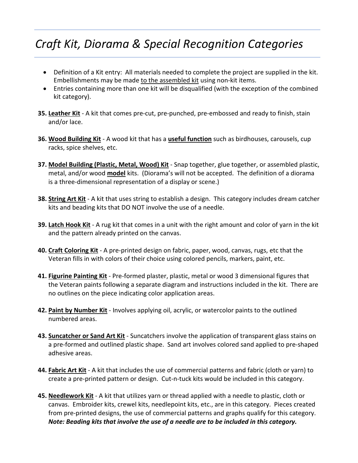# *Craft Kit, Diorama & Special Recognition Categories*

- Definition of a Kit entry: All materials needed to complete the project are supplied in the kit. Embellishments may be made to the assembled kit using non-kit items.
- Entries containing more than one kit will be disqualified (with the exception of the combined kit category).
- **35. Leather Kit** A kit that comes pre-cut, pre-punched, pre-embossed and ready to finish, stain and/or lace.
- **36. Wood Building Kit** A wood kit that has a **useful function** such as birdhouses, carousels, cup racks, spice shelves, etc.
- **37. Model Building (Plastic, Metal, Wood) Kit** Snap together, glue together, or assembled plastic, metal, and/or wood **model** kits. (Diorama's will not be accepted. The definition of a diorama is a three-dimensional representation of a display or scene.)
- **38. String Art Kit** A kit that uses string to establish a design. This category includes dream catcher kits and beading kits that DO NOT involve the use of a needle.
- **39. Latch Hook Kit** A rug kit that comes in a unit with the right amount and color of yarn in the kit and the pattern already printed on the canvas.
- **40. Craft Coloring Kit** A pre-printed design on fabric, paper, wood, canvas, rugs, etc that the Veteran fills in with colors of their choice using colored pencils, markers, paint, etc.
- **41. Figurine Painting Kit** Pre-formed plaster, plastic, metal or wood 3 dimensional figures that the Veteran paints following a separate diagram and instructions included in the kit. There are no outlines on the piece indicating color application areas.
- **42. Paint by Number Kit** Involves applying oil, acrylic, or watercolor paints to the outlined numbered areas.
- **43. Suncatcher or Sand Art Kit** Suncatchers involve the application of transparent glass stains on a pre-formed and outlined plastic shape. Sand art involves colored sand applied to pre-shaped adhesive areas.
- **44. Fabric Art Kit** A kit that includes the use of commercial patterns and fabric (cloth or yarn) to create a pre-printed pattern or design. Cut-n-tuck kits would be included in this category.
- **45. Needlework Kit** A kit that utilizes yarn or thread applied with a needle to plastic, cloth or canvas. Embroider kits, crewel kits, needlepoint kits, etc., are in this category. Pieces created from pre-printed designs, the use of commercial patterns and graphs qualify for this category. *Note: Beading kits that involve the use of a needle are to be included in this category.*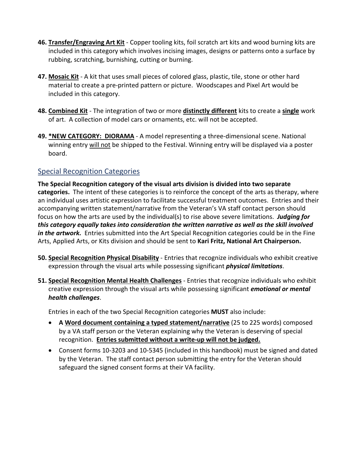- **46. Transfer/Engraving Art Kit** Copper tooling kits, foil scratch art kits and wood burning kits are included in this category which involves incising images, designs or patterns onto a surface by rubbing, scratching, burnishing, cutting or burning.
- **47. Mosaic Kit** A kit that uses small pieces of colored glass, plastic, tile, stone or other hard material to create a pre-printed pattern or picture. Woodscapes and Pixel Art would be included in this category.
- **48. Combined Kit** The integration of two or more **distinctly different** kits to create a **single** work of art. A collection of model cars or ornaments, etc. will not be accepted.
- **49. \*NEW CATEGORY: DIORAMA** A model representing a three-dimensional scene. National winning entry will not be shipped to the Festival. Winning entry will be displayed via a poster board.

### Special Recognition Categories

**The Special Recognition category of the visual arts division is divided into two separate categories.** The intent of these categories is to reinforce the concept of the arts as therapy, where an individual uses artistic expression to facilitate successful treatment outcomes. Entries and their accompanying written statement/narrative from the Veteran's VA staff contact person should focus on how the arts are used by the individual(s) to rise above severe limitations. *Judging for this category equally takes into consideration the written narrative as well as the skill involved in the artwork.* Entries submitted into the Art Special Recognition categories could be in the Fine Arts, Applied Arts, or Kits division and should be sent to **Kari Fritz, National Art Chairperson.**

- **50. Special Recognition Physical Disability** Entries that recognize individuals who exhibit creative expression through the visual arts while possessing significant *physical limitations*.
- **51. Special Recognition Mental Health Challenges** Entries that recognize individuals who exhibit creative expression through the visual arts while possessing significant *emotional or mental health challenges*.

Entries in each of the two Special Recognition categories **MUST** also include:

- **A Word document containing a typed statement/narrative** (25 to 225 words) composed by a VA staff person or the Veteran explaining why the Veteran is deserving of special recognition. **Entries submitted without a write-up will not be judged.**
- Consent forms 10-3203 and 10-5345 (included in this handbook) must be signed and dated by the Veteran. The staff contact person submitting the entry for the Veteran should safeguard the signed consent forms at their VA facility.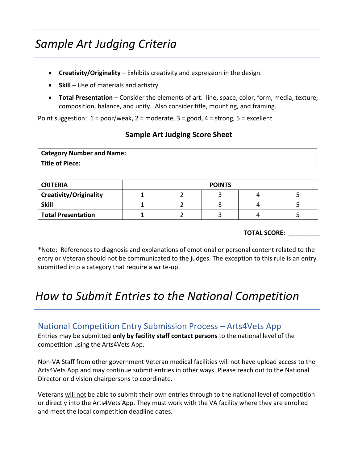# *Sample Art Judging Criteria*

- **Creativity/Originality** Exhibits creativity and expression in the design.
- **Skill** Use of materials and artistry.
- **Total Presentation** Consider the elements of art: line, space, color, form, media, texture, composition, balance, and unity. Also consider title, mounting, and framing.

Point suggestion:  $1 = poor/weak$ ,  $2 = moderate$ ,  $3 = good$ ,  $4 = strong$ ,  $5 = excellent$ 

### **Sample Art Judging Score Sheet**

| <b>Category Number and Name:</b> |  |
|----------------------------------|--|
| <b>Title of Piece:</b>           |  |

| <b>CRITERIA</b>               | <b>POINTS</b> |  |  |  |
|-------------------------------|---------------|--|--|--|
| <b>Creativity/Originality</b> |               |  |  |  |
| <b>Skill</b>                  |               |  |  |  |
| <b>Total Presentation</b>     |               |  |  |  |

#### **TOTAL SCORE:** \_\_\_\_\_\_\_\_\_

\*Note: References to diagnosis and explanations of emotional or personal content related to the entry or Veteran should not be communicated to the judges. The exception to this rule is an entry submitted into a category that require a write-up.

## *How to Submit Entries to the National Competition*

### National Competition Entry Submission Process – Arts4Vets App

Entries may be submitted **only by facility staff contact persons** to the national level of the competition using the Arts4Vets App.

Non-VA Staff from other government Veteran medical facilities will not have upload access to the Arts4Vets App and may continue submit entries in other ways. Please reach out to the National Director or division chairpersons to coordinate.

Veterans will not be able to submit their own entries through to the national level of competition or directly into the Arts4Vets App. They must work with the VA facility where they are enrolled and meet the local competition deadline dates.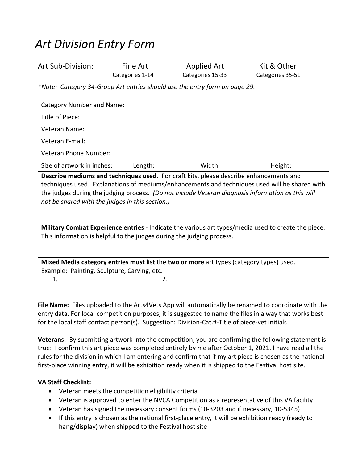# *Art Division Entry Form*

Art Sub-Division: Fine Art Applied Art Kit & Other Categories 1-14 Categories 15-33 Categories 35-51

*\*Note: Category 34-Group Art entries should use the entry form on page 29.*

| Category Number and Name:                                                                                                                                                                                                                                                                                                                       |         |        |         |  |
|-------------------------------------------------------------------------------------------------------------------------------------------------------------------------------------------------------------------------------------------------------------------------------------------------------------------------------------------------|---------|--------|---------|--|
| Title of Piece:                                                                                                                                                                                                                                                                                                                                 |         |        |         |  |
| Veteran Name:                                                                                                                                                                                                                                                                                                                                   |         |        |         |  |
| Veteran E-mail:                                                                                                                                                                                                                                                                                                                                 |         |        |         |  |
| Veteran Phone Number:                                                                                                                                                                                                                                                                                                                           |         |        |         |  |
| Size of artwork in inches:                                                                                                                                                                                                                                                                                                                      | Length: | Width: | Height: |  |
| Describe mediums and techniques used. For craft kits, please describe enhancements and<br>techniques used. Explanations of mediums/enhancements and techniques used will be shared with<br>the judges during the judging process. (Do not include Veteran diagnosis information as this will<br>not be shared with the judges in this section.) |         |        |         |  |
| Military Combat Experience entries - Indicate the various art types/media used to create the piece.                                                                                                                                                                                                                                             |         |        |         |  |
| This information is helpful to the judges during the judging process.                                                                                                                                                                                                                                                                           |         |        |         |  |
| Mixed Media category entries must list the two or more art types (category types) used.                                                                                                                                                                                                                                                         |         |        |         |  |
| Example: Painting, Sculpture, Carving, etc.                                                                                                                                                                                                                                                                                                     |         |        |         |  |
| 1.                                                                                                                                                                                                                                                                                                                                              | 2.      |        |         |  |

**File Name:** Files uploaded to the Arts4Vets App will automatically be renamed to coordinate with the entry data. For local competition purposes, it is suggested to name the files in a way that works best for the local staff contact person(s). Suggestion: Division-Cat.#-Title of piece-vet initials

**Veterans:** By submitting artwork into the competition, you are confirming the following statement is true: I confirm this art piece was completed entirely by me after October 1, 2021. I have read all the rules for the division in which I am entering and confirm that if my art piece is chosen as the national first-place winning entry, it will be exhibition ready when it is shipped to the Festival host site.

### **VA Staff Checklist:**

- Veteran meets the competition eligibility criteria
- Veteran is approved to enter the NVCA Competition as a representative of this VA facility
- Veteran has signed the necessary consent forms (10-3203 and if necessary, 10-5345)
- If this entry is chosen as the national first-place entry, it will be exhibition ready (ready to hang/display) when shipped to the Festival host site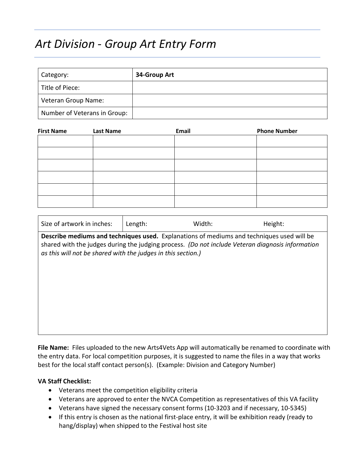## *Art Division - Group Art Entry Form*

| Category:                    | 34-Group Art |
|------------------------------|--------------|
| Title of Piece:              |              |
| Veteran Group Name:          |              |
| Number of Veterans in Group: |              |

| <b>First Name</b> | <b>Last Name</b> | Email | <b>Phone Number</b> |
|-------------------|------------------|-------|---------------------|
|                   |                  |       |                     |
|                   |                  |       |                     |
|                   |                  |       |                     |
|                   |                  |       |                     |
|                   |                  |       |                     |
|                   |                  |       |                     |

| Size of artwork in inches:                                                                                                                                                                                                                                    | Length: | Width: | Height: |  |
|---------------------------------------------------------------------------------------------------------------------------------------------------------------------------------------------------------------------------------------------------------------|---------|--------|---------|--|
| Describe mediums and techniques used. Explanations of mediums and techniques used will be<br>shared with the judges during the judging process. (Do not include Veteran diagnosis information<br>as this will not be shared with the judges in this section.) |         |        |         |  |
|                                                                                                                                                                                                                                                               |         |        |         |  |
|                                                                                                                                                                                                                                                               |         |        |         |  |
|                                                                                                                                                                                                                                                               |         |        |         |  |

**File Name:** Files uploaded to the new Arts4Vets App will automatically be renamed to coordinate with the entry data. For local competition purposes, it is suggested to name the files in a way that works best for the local staff contact person(s). (Example: Division and Category Number)

#### **VA Staff Checklist:**

- Veterans meet the competition eligibility criteria
- Veterans are approved to enter the NVCA Competition as representatives of this VA facility
- Veterans have signed the necessary consent forms (10-3203 and if necessary, 10-5345)
- If this entry is chosen as the national first-place entry, it will be exhibition ready (ready to hang/display) when shipped to the Festival host site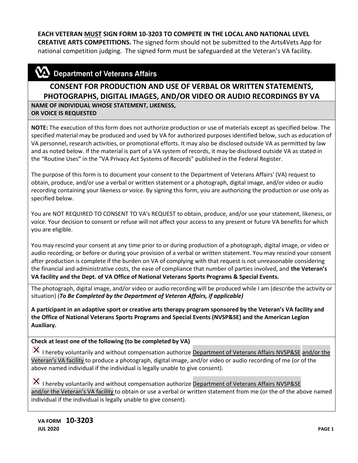### **EACH VETERAN MUST SIGN FORM 10-3203 TO COMPETE IN THE LOCAL AND NATIONAL LEVEL**

**CREATIVE ARTS COMPETITIONS.** The signed form should not be submitted to the Arts4Vets App for national competition judging. The signed form must be safeguarded at the Veteran's VA facility.

### $\mathbf{\Sigma}$  Department of Veterans Affairs

### **CONSENT FOR PRODUCTION AND USE OF VERBAL OR WRITTEN STATEMENTS, PHOTOGRAPHS, DIGITAL IMAGES, AND/OR VIDEO OR AUDIO RECORDINGS BY VA**

**NAME OF INDIVIDUAL WHOSE STATEMENT, LIKENESS, OR VOICE IS REQUESTED**

**NOTE:** The execution of this form does not authorize production or use of materials except as specified below. The specified material may be produced and used by VA for authorized purposes identified below, such as education of VA personnel, research activities, or promotional efforts. It may also be disclosed outside VA as permitted by law and as noted below. If the material is part of a VA system of records, it may be disclosed outside VA as stated in the "Routine Uses" in the "VA Privacy Act Systems of Records" published in the Federal Register.

The purpose of this form is to document your consent to the Department of Veterans Affairs' (VA) request to obtain, produce, and/or use a verbal or written statement or a photograph, digital image, and/or video or audio recording containing your likeness or voice. By signing this form, you are authorizing the production or use only as specified below.

You are NOT REQUIRED TO CONSENT TO VA's REQUEST to obtain, produce, and/or use your statement, likeness, or voice. Your decision to consent or refuse will not affect your access to any present or future VA benefits for which you are eligible.

You may rescind your consent at any time prior to or during production of a photograph, digital image, or video or audio recording, or before or during your provision of a verbal or written statement. You may rescind your consent after production is complete if the burden on VA of complying with that request is not unreasonable considering the financial and administrative costs, the ease of compliance that number of parties involved, and **the Veteran's VA facility and the Dept. of VA Office of National Veterans Sports Programs & Special Events.**

The photograph, digital image, and/or video or audio recording will be produced while I am (describe the activity or situation) (*To Be Completed by the Department of Veteran Affairs, if applicable)* 

**A participant in an adaptive sport or creative arts therapy program sponsored by the Veteran's VA facility and the Office of National Veterans Sports Programs and Special Events (NVSP&SE) and the American Legion Auxiliary.**

#### **Check at least one of the following (to be completed by VA)**

I hereby voluntarily and without compensation authorize Department of Veterans Affairs NVSP&SE and/or the Veteran's VA facility to produce a photograph, digital image, and/or video or audio recording of me (or of the above named individual if the individual is legally unable to give consent).

 $|\mathbf{X}|$  I hereby voluntarily and without compensation authorize **Department of Veterans Affairs NVSP&SE** and/or the Veteran's VA facility to obtain or use a verbal or written statement from me (or the of the above named individual if the individual is legally unable to give consent).